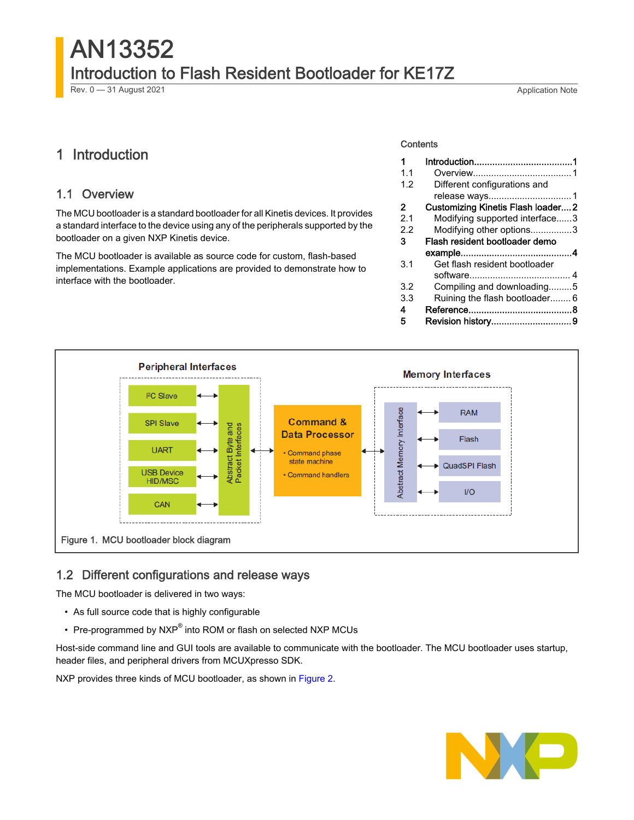# AN13352 Introduction to Flash Resident Bootloader for KE17Z Rev. 0 — 31 August 2021 **Application Note**

# 1 Introduction

## 1.1 Overview

The MCU bootloader is a standard bootloader for all Kinetis devices. It provides a standard interface to the device using any of the peripherals supported by the bootloader on a given NXP Kinetis device.

The MCU bootloader is available as source code for custom, flash-based implementations. Example applications are provided to demonstrate how to interface with the bootloader.

#### **Contents**

| 1   |                                          |  |
|-----|------------------------------------------|--|
| 1.1 |                                          |  |
| 1.2 | Different configurations and             |  |
|     |                                          |  |
| 2   | <b>Customizing Kinetis Flash loader2</b> |  |
| 2.1 | Modifying supported interface3           |  |
| 22  | Modifying other options3                 |  |
| 3   | Flash resident bootloader demo           |  |
|     |                                          |  |
| 3.1 | Get flash resident bootloader            |  |
|     |                                          |  |
| 3.2 | Compiling and downloading5               |  |
| 3.3 | Ruining the flash bootloader 6           |  |
| 4   |                                          |  |
| 5   | Revision history9                        |  |



## 1.2 Different configurations and release ways

The MCU bootloader is delivered in two ways:

- As full source code that is highly configurable
- Pre-programmed by NXP® into ROM or flash on selected NXP MCUs

Host-side command line and GUI tools are available to communicate with the bootloader. The MCU bootloader uses startup, header files, and peripheral drivers from MCUXpresso SDK.

NXP provides three kinds of MCU bootloader, as shown in [Figure 2.](#page-1-0)

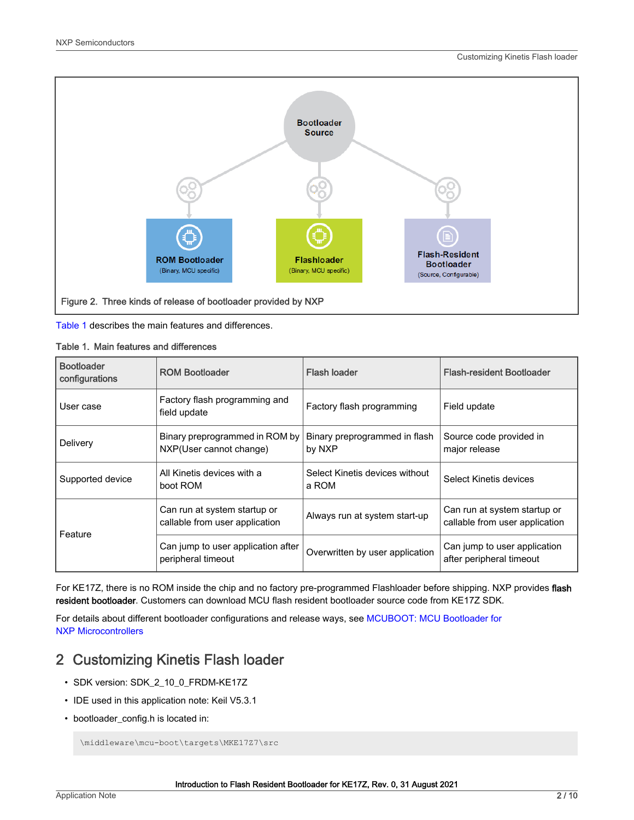<span id="page-1-0"></span>

Table 1 describes the main features and differences.

#### Table 1. Main features and differences

| <b>Bootloader</b><br>configurations | <b>ROM Bootloader</b>                                          | <b>Flash loader</b>                     | <b>Flash-resident Bootloader</b>                               |
|-------------------------------------|----------------------------------------------------------------|-----------------------------------------|----------------------------------------------------------------|
| User case                           | Factory flash programming and<br>field update                  | Factory flash programming               | Field update                                                   |
| Delivery                            | Binary preprogrammed in ROM by<br>NXP(User cannot change)      | Binary preprogrammed in flash<br>by NXP | Source code provided in<br>major release                       |
| Supported device                    | All Kinetis devices with a<br>boot ROM                         | Select Kinetis devices without<br>a ROM | Select Kinetis devices                                         |
| Feature                             | Can run at system startup or<br>callable from user application | Always run at system start-up           | Can run at system startup or<br>callable from user application |
|                                     | Can jump to user application after<br>peripheral timeout       | Overwritten by user application         | Can jump to user application<br>after peripheral timeout       |

For KE17Z, there is no ROM inside the chip and no factory pre-programmed Flashloader before shipping. NXP provides flash resident bootloader. Customers can download MCU flash resident bootloader source code from KE17Z SDK.

For details about different bootloader configurations and release ways, see [MCUBOOT: MCU Bootloader for](https://www.nxp.com/design/software/development-software/mcuxpresso-software-and-tools/mcuboot-mcu-bootloader-for-nxp-microcontrollers:MCUBOOT?tab=Documentation_Tab) [NXP Microcontrollers](https://www.nxp.com/design/software/development-software/mcuxpresso-software-and-tools/mcuboot-mcu-bootloader-for-nxp-microcontrollers:MCUBOOT?tab=Documentation_Tab)

# 2 Customizing Kinetis Flash loader

- SDK version: SDK\_2\_10\_0\_FRDM-KE17Z
- IDE used in this application note: Keil V5.3.1
- bootloader\_config.h is located in:

\middleware\mcu-boot\targets\MKE17Z7\src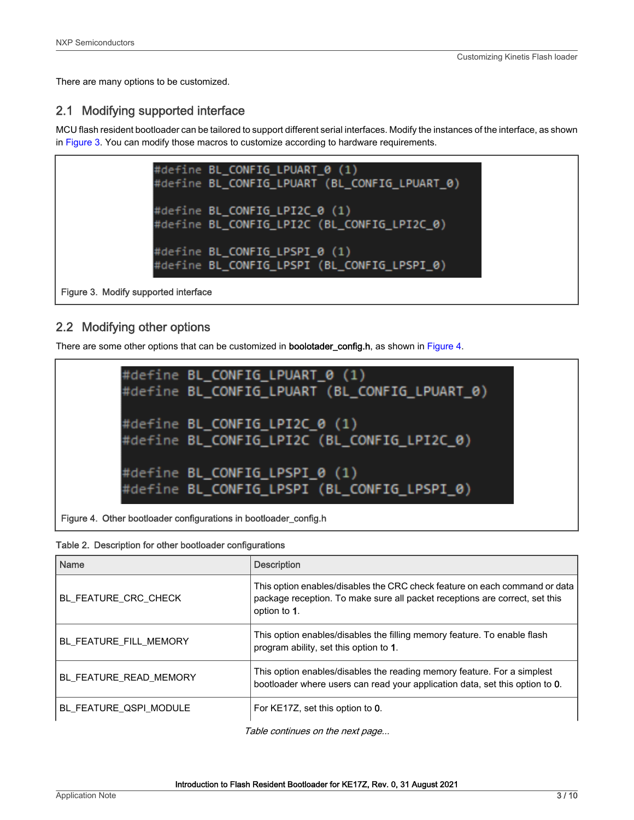<span id="page-2-0"></span>There are many options to be customized.

# 2.1 Modifying supported interface

MCU flash resident bootloader can be tailored to support different serial interfaces. Modify the instances of the interface, as shown in Figure 3. You can modify those macros to customize according to hardware requirements.



Figure 3. Modify supported interface

# 2.2 Modifying other options

There are some other options that can be customized in **boolotader\_config.h**, as shown in Figure 4.



Figure 4. Other bootloader configurations in bootloader\_config.h

| Name                   | <b>Description</b>                                                                                                                                                        |
|------------------------|---------------------------------------------------------------------------------------------------------------------------------------------------------------------------|
| BL FEATURE CRC CHECK   | This option enables/disables the CRC check feature on each command or data<br>package reception. To make sure all packet receptions are correct, set this<br>option to 1. |
| BL FEATURE FILL MEMORY | This option enables/disables the filling memory feature. To enable flash<br>program ability, set this option to 1.                                                        |
| BL FEATURE READ MEMORY | This option enables/disables the reading memory feature. For a simplest<br>bootloader where users can read your application data, set this option to 0.                   |
| BL FEATURE QSPI MODULE | For KE17Z, set this option to 0.                                                                                                                                          |

Table continues on the next page...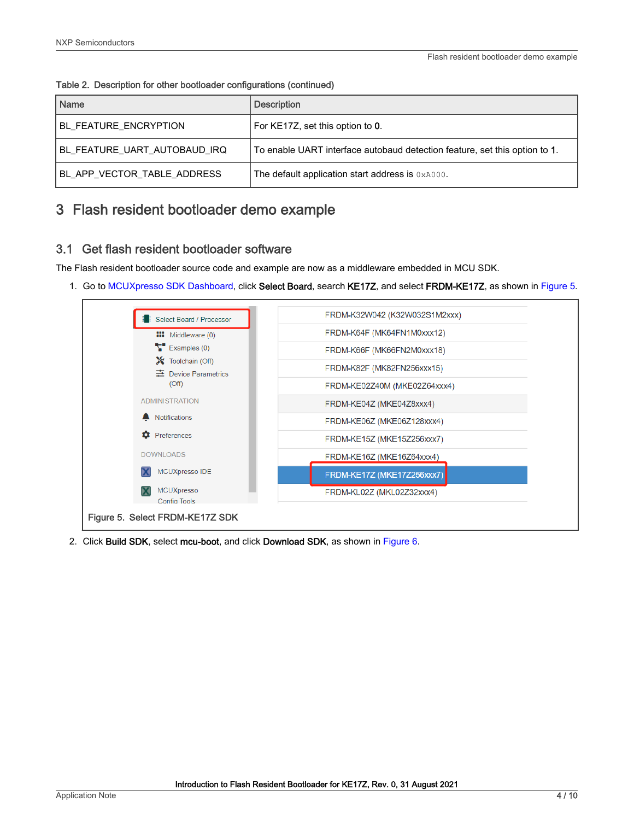| Name                         | <b>Description</b>                                                         |
|------------------------------|----------------------------------------------------------------------------|
| <b>BL_FEATURE_ENCRYPTION</b> | For KE17Z, set this option to 0.                                           |
| BL_FEATURE_UART_AUTOBAUD_IRQ | To enable UART interface autobaud detection feature, set this option to 1. |
| BL APP VECTOR TABLE ADDRESS  | The default application start address is 0xA000.                           |

<span id="page-3-0"></span>Table 2. Description for other bootloader configurations (continued)

# 3 Flash resident bootloader demo example

## 3.1 Get flash resident bootloader software

The Flash resident bootloader source code and example are now as a middleware embedded in MCU SDK.

1. Go to [MCUXpresso SDK Dashboard](https://mcuxpresso.nxp.com/en/dashboard), click Select Board, search KE17Z, and select FRDM-KE17Z, as shown in Figure 5.



2. Click Build SDK, select mcu-boot, and click Download SDK, as shown in [Figure 6](#page-4-0).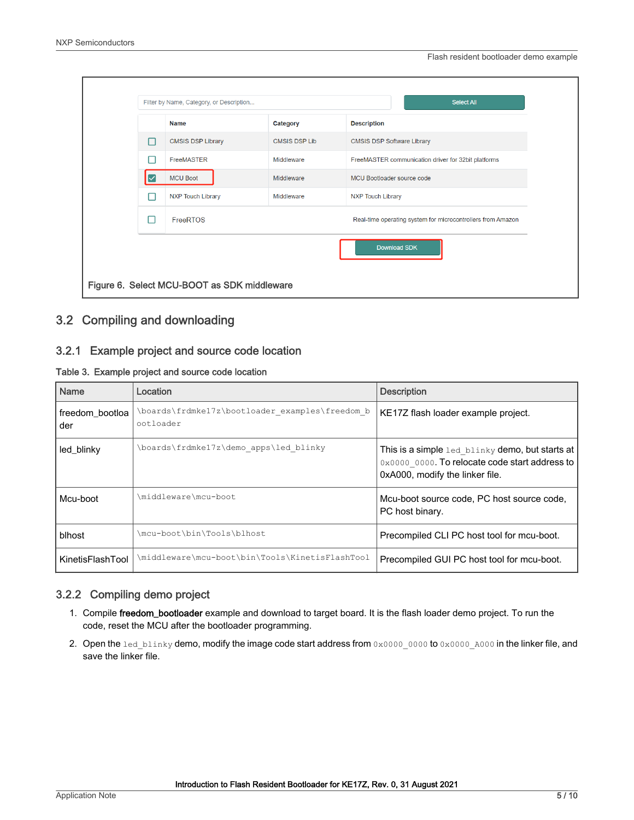<span id="page-4-0"></span>

|   | Filter by Name, Category, or Description    |                      |                                   | <b>Select All</b>                                           |
|---|---------------------------------------------|----------------------|-----------------------------------|-------------------------------------------------------------|
|   | <b>Name</b>                                 | Category             | <b>Description</b>                |                                                             |
| П | <b>CMSIS DSP Library</b>                    | <b>CMSIS DSP Lib</b> | <b>CMSIS DSP Software Library</b> |                                                             |
| m | <b>FreeMASTER</b>                           | Middleware           |                                   | FreeMASTER communication driver for 32bit platforms         |
|   | <b>MCU Boot</b>                             | Middleware           | MCU Bootloader source code        |                                                             |
| П | <b>NXP Touch Library</b>                    | Middleware           | <b>NXP Touch Library</b>          |                                                             |
| n | FreeRTOS                                    |                      |                                   | Real-time operating system for microcontrollers from Amazon |
|   |                                             |                      |                                   | Download SDK                                                |
|   | Figure 6. Select MCU-BOOT as SDK middleware |                      |                                   |                                                             |

# 3.2 Compiling and downloading

#### 3.2.1 Example project and source code location

#### Table 3. Example project and source code location

| <b>Name</b>            | Location                                                     | <b>Description</b>                                                                                                                   |
|------------------------|--------------------------------------------------------------|--------------------------------------------------------------------------------------------------------------------------------------|
| freedom bootloa<br>der | \boards\frdmke17z\bootloader examples\freedom b<br>ootloader | KE17Z flash loader example project.                                                                                                  |
| led blinky             | \boards\frdmke17z\demo apps\led blinky                       | This is a simple led blinky demo, but starts at<br>0x0000 0000. To relocate code start address to<br>0xA000, modify the linker file. |
| Mcu-boot               | \middleware\mcu-boot                                         | Mcu-boot source code, PC host source code,<br>PC host binary.                                                                        |
| blhost                 | \mcu-boot\bin\Tools\blhost                                   | Precompiled CLI PC host tool for mcu-boot.                                                                                           |
| KinetisFlashTool       | \middleware\mcu-boot\bin\Tools\KinetisFlashTool              | Precompiled GUI PC host tool for mcu-boot.                                                                                           |

#### 3.2.2 Compiling demo project

- 1. Compile freedom\_bootloader example and download to target board. It is the flash loader demo project. To run the code, reset the MCU after the bootloader programming.
- 2. Open the led\_blinky demo, modify the image code start address from 0x0000\_0000 to 0x0000\_A000 in the linker file, and save the linker file.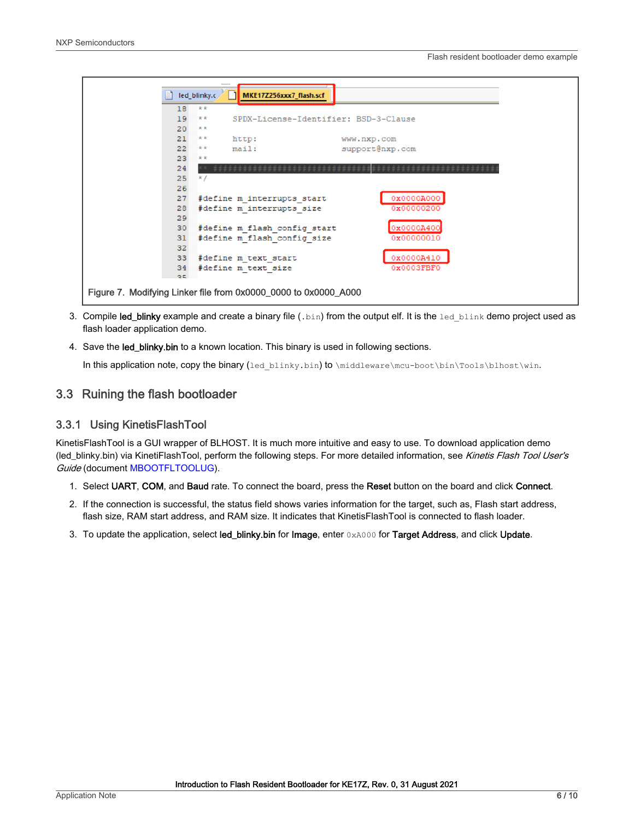<span id="page-5-0"></span>

- 3. Compile led\_blinky example and create a binary file (.bin) from the output elf. It is the led blink demo project used as flash loader application demo.
- 4. Save the led\_blinky.bin to a known location. This binary is used in following sections.

In this application note, copy the binary (led\_blinky.bin) to \middleware\mcu-boot\bin\Tools\blhost\win.

## 3.3 Ruining the flash bootloader

#### 3.3.1 Using KinetisFlashTool

KinetisFlashTool is a GUI wrapper of BLHOST. It is much more intuitive and easy to use. To download application demo (led\_blinky.bin) via KinetiFlashTool, perform the following steps. For more detailed information, see Kinetis Flash Tool User's Guide (document [MBOOTFLTOOLUG](https://www.nxp.com/docs/en/user-guide/MBOOTFLTOOLUG.pdf)).

- 1. Select UART, COM, and Baud rate. To connect the board, press the Reset button on the board and click Connect.
- 2. If the connection is successful, the status field shows varies information for the target, such as, Flash start address, flash size, RAM start address, and RAM size. It indicates that KinetisFlashTool is connected to flash loader.
- 3. To update the application, select led\_blinky.bin for Image, enter 0xA000 for Target Address, and click Update.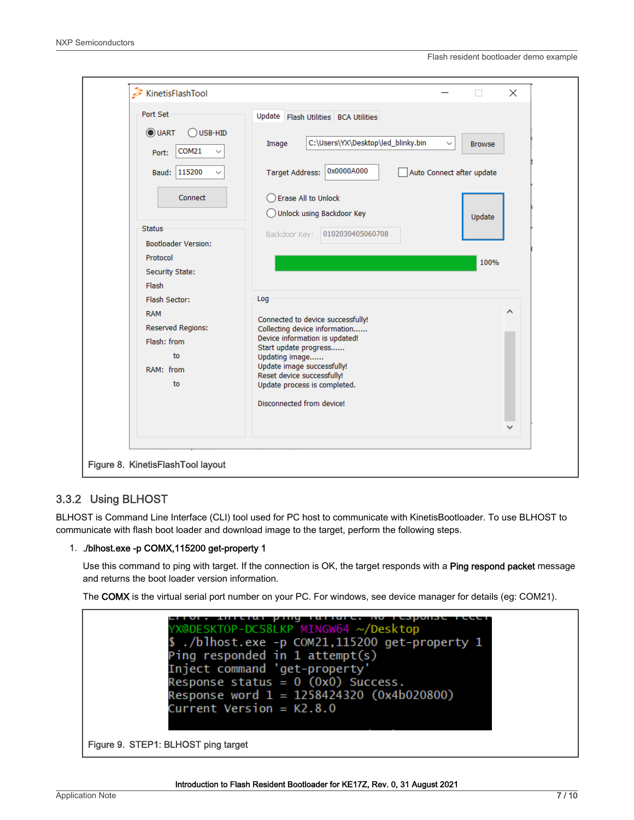

### 3.3.2 Using BLHOST

BLHOST is Command Line Interface (CLI) tool used for PC host to communicate with KinetisBootloader. To use BLHOST to communicate with flash boot loader and download image to the target, perform the following steps.

#### 1. ./blhost.exe -p COMX,115200 get-property 1

Use this command to ping with target. If the connection is OK, the target responds with a Ping respond packet message and returns the boot loader version information.

The COMX is the virtual serial port number on your PC. For windows, see device manager for details (eg: COM21).

.гот. Interat ping railure. No resp<br>X@DESKTOP-DCS8LKP MINGW64 ~/Desktop ./blhost.exe -p COM21,115200 get-property 1 Ping responded in 1 attempt(s) Inject command 'get-property' Response status = 0 (0x0) Success. Response word 1 = 1258424320 (0x4b020800)  $Current Version = K2.8.0$ Figure 9. STEP1: BLHOST ping target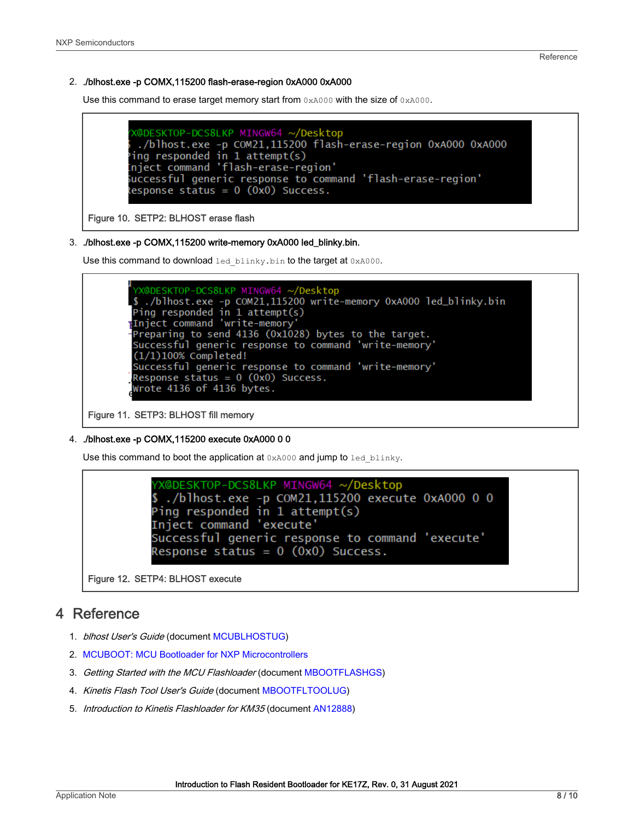#### <span id="page-7-0"></span>2. ./blhost.exe -p COMX,115200 flash-erase-region 0xA000 0xA000

Use this command to erase target memory start from  $0 \times A000$  with the size of  $0 \times A000$ .

```
X@DESKTOP-DCS8LKP MINGW64 ~/Desktop
 ./blhost.exe -p COM21,115200 flash-erase-region 0xA000 0xA000
ing responded in 1 attempt(s)
nject command 'flash-erase-region'
uccessful generic response to command 'flash-erase-region'
lesponse status = 0 (0x0) Success.
```
#### Figure 10. SETP2: BLHOST erase flash

#### 3. ./blhost.exe -p COMX,115200 write-memory 0xA000 led\_blinky.bin.

Use this command to download led blinky.bin to the target at 0xA000.

```
X@DESKTOP-DCS8LKP MINGW64 ~<mark>/Desktop</mark>
$ ./blhost.exe -p COM21,115200 write-memory 0xA000 led_blinky.bin<br>Ping responded in 1 attempt(s)
Inject command 'write-memory'<br>Inject command 'write-memory'<br>Preparing to send 4136 (0x1028) bytes to the target.
Successful generic response to command 'write-memory'
(1/1)100\% Completed!
Successful generic response to command 'write-memory'<br>Response status = 0 (0x0) Success.
Wrote 4136 of 4136 bytes.
```
Figure 11. SETP3: BLHOST fill memory

#### 4. ./blhost.exe -p COMX,115200 execute 0xA000 0 0

Use this command to boot the application at  $0 \times A000$  and jump to led blinky.

```
X@DESKTOP-DCS8LKP MINGW64 ~/Desktop
 ./blhost.exe -p COM21,115200 execute 0xA000 0 0.
Ping responded in 1 attempt(s)
Inject command 'execute'
Successful generic response to command 'execute'
Response status = 0 (0x0) Success.
```
Figure 12. SETP4: BLHOST execute

# 4 Reference

- 1. blhost User's Guide (document [MCUBLHOSTUG\)](https://www.nxp.com.cn/docs/en/user-guide/MCUBLHOSTUG.pdf)
- 2. [MCUBOOT: MCU Bootloader for NXP Microcontrollers](https://www.nxp.com/design/software/development-software/mcuxpresso-software-and-tools/mcuboot-mcu-bootloader-for-nxp-microcontrollers:MCUBOOT)
- 3. Getting Started with the MCU Flashloader (document [MBOOTFLASHGS](https://www.nxp.com/docs/en/user-guide/MBOOTFLASHGS.pdf))
- 4. Kinetis Flash Tool User's Guide (document [MBOOTFLTOOLUG\)](https://www.nxp.com/docs/en/user-guide/MBOOTFLTOOLUG.pdf)
- 5. Introduction to Kinetis Flashloader for KM35 (document [AN12888](https://www.nxp.com/docs/en/application-note/AN12888.pdf))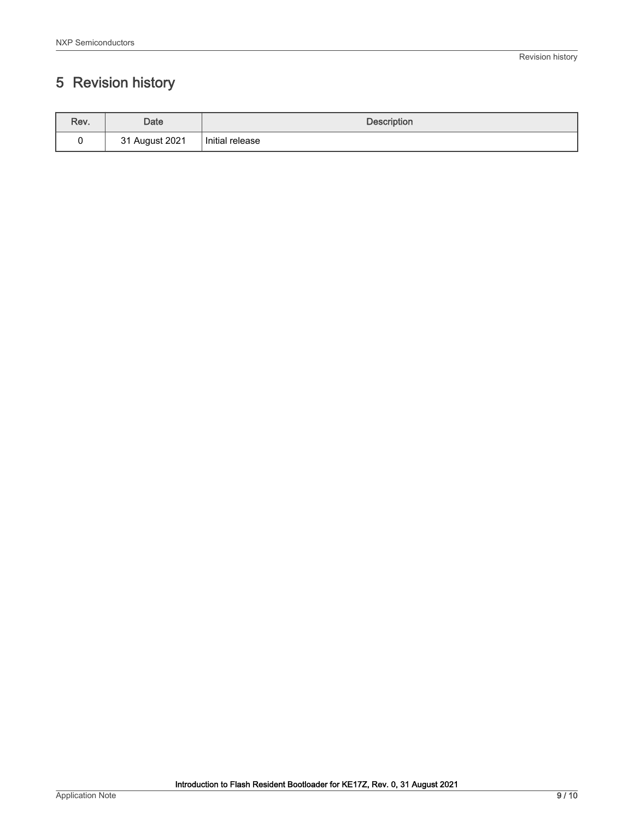# <span id="page-8-0"></span>5 Revision history

| Rev. | Date                     | <b>Description</b> |
|------|--------------------------|--------------------|
|      | August 2021<br>つィ<br>ັບເ | Initial release    |